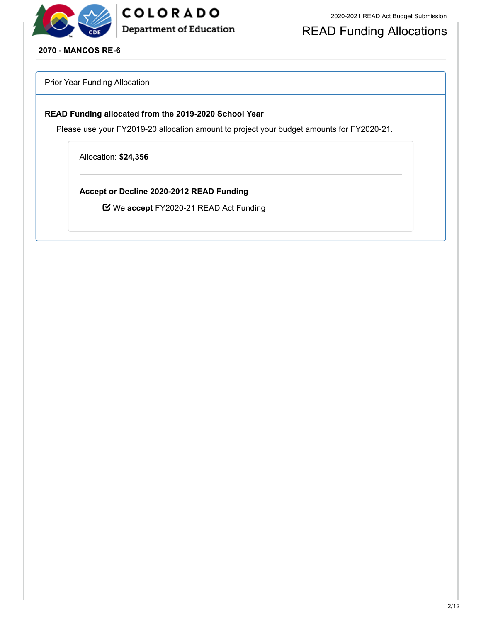

## COLORADO **Department of Education**

## READ Funding Allocations

**2070 - MANCOS RE-6**

Prior Year Funding Allocation

#### **READ Funding allocated from the 2019-2020 School Year**

Please use your FY2019-20 allocation amount to project your budget amounts for FY2020-21.

Allocation: **\$24,356**

**Accept or Decline 2020-2012 READ Funding**

We **accept** FY2020-21 READ Act Funding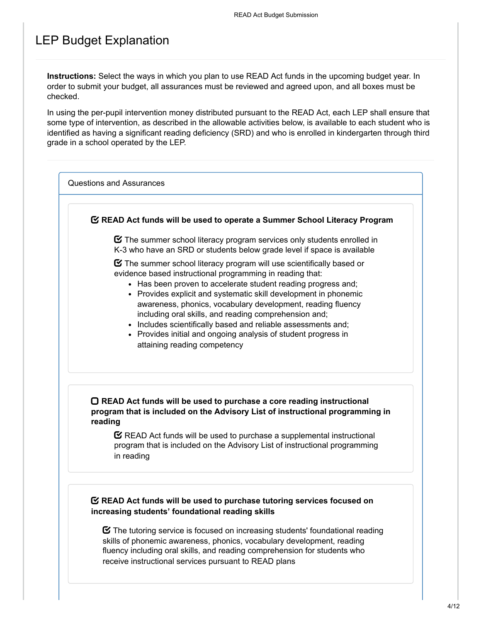### LEP Budget Explanation

**Instructions:** Select the ways in which you plan to use READ Act funds in the upcoming budget year. In order to submit your budget, all assurances must be reviewed and agreed upon, and all boxes must be checked.

In using the per-pupil intervention money distributed pursuant to the READ Act, each LEP shall ensure that some type of intervention, as described in the allowable activities below, is available to each student who is identified as having a significant reading deficiency (SRD) and who is enrolled in kindergarten through third grade in a school operated by the LEP.

Questions and Assurances

#### **READ Act funds will be used to operate a Summer School Literacy Program**

 $\boldsymbol{\heartsuit}$  The summer school literacy program services only students enrolled in K-3 who have an SRD or students below grade level if space is available

 $\boldsymbol{\Xi}$  The summer school literacy program will use scientifically based or evidence based instructional programming in reading that:

- Has been proven to accelerate student reading progress and:
- Provides explicit and systematic skill development in phonemic awareness, phonics, vocabulary development, reading fluency including oral skills, and reading comprehension and;
- Includes scientifically based and reliable assessments and;
- Provides initial and ongoing analysis of student progress in attaining reading competency

#### **READ Act funds will be used to purchase a core reading instructional program that is included on the Advisory List of instructional programming in reading**

 $\mathbf C$  READ Act funds will be used to purchase a supplemental instructional program that is included on the Advisory List of instructional programming in reading

#### **READ Act funds will be used to purchase tutoring services focused on increasing students' foundational reading skills**

 $\boldsymbol{\heartsuit}$  The tutoring service is focused on increasing students' foundational reading skills of phonemic awareness, phonics, vocabulary development, reading fluency including oral skills, and reading comprehension for students who receive instructional services pursuant to READ plans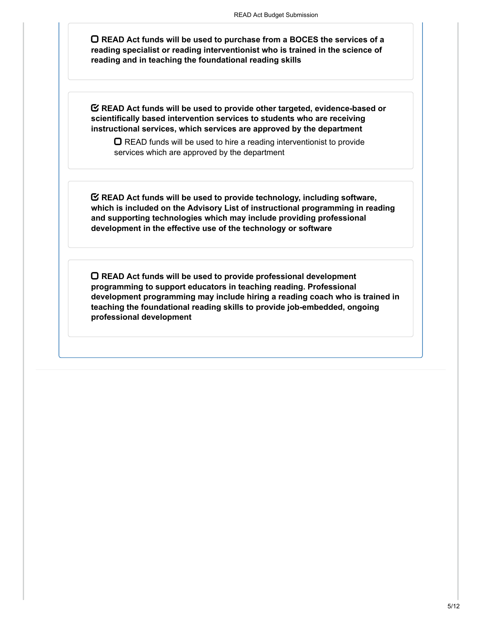**READ Act funds will be used to purchase from a BOCES the services of a reading specialist or reading interventionist who is trained in the science of reading and in teaching the foundational reading skills**

**READ Act funds will be used to provide other targeted, evidence-based or scientifically based intervention services to students who are receiving instructional services, which services are approved by the department**

 $\Box$  READ funds will be used to hire a reading interventionist to provide services which are approved by the department

**READ Act funds will be used to provide technology, including software, which is included on the Advisory List of instructional programming in reading and supporting technologies which may include providing professional development in the effective use of the technology or software**

**READ Act funds will be used to provide professional development programming to support educators in teaching reading. Professional development programming may include hiring a reading coach who is trained in teaching the foundational reading skills to provide job-embedded, ongoing professional development**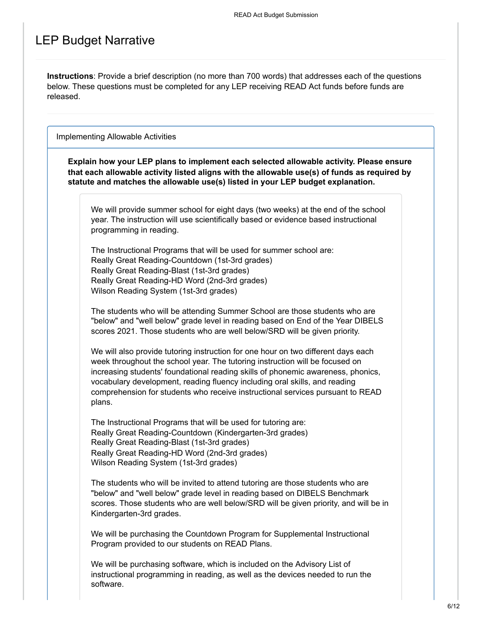### LEP Budget Narrative

**Instructions**: Provide a brief description (no more than 700 words) that addresses each of the questions below. These questions must be completed for any LEP receiving READ Act funds before funds are released.

Implementing Allowable Activities

**Explain how your LEP plans to implement each selected allowable activity. Please ensure that each allowable activity listed aligns with the allowable use(s) of funds as required by statute and matches the allowable use(s) listed in your LEP budget explanation.**

We will provide summer school for eight days (two weeks) at the end of the school year. The instruction will use scientifically based or evidence based instructional programming in reading.

The Instructional Programs that will be used for summer school are: Really Great Reading-Countdown (1st-3rd grades) Really Great Reading-Blast (1st-3rd grades) Really Great Reading-HD Word (2nd-3rd grades) Wilson Reading System (1st-3rd grades)

The students who will be attending Summer School are those students who are "below" and "well below" grade level in reading based on End of the Year DIBELS scores 2021. Those students who are well below/SRD will be given priority.

We will also provide tutoring instruction for one hour on two different days each week throughout the school year. The tutoring instruction will be focused on increasing students' foundational reading skills of phonemic awareness, phonics, vocabulary development, reading fluency including oral skills, and reading comprehension for students who receive instructional services pursuant to READ plans.

The Instructional Programs that will be used for tutoring are: Really Great Reading-Countdown (Kindergarten-3rd grades) Really Great Reading-Blast (1st-3rd grades) Really Great Reading-HD Word (2nd-3rd grades) Wilson Reading System (1st-3rd grades)

The students who will be invited to attend tutoring are those students who are "below" and "well below" grade level in reading based on DIBELS Benchmark scores. Those students who are well below/SRD will be given priority, and will be in Kindergarten-3rd grades.

We will be purchasing the Countdown Program for Supplemental Instructional Program provided to our students on READ Plans.

We will be purchasing software, which is included on the Advisory List of instructional programming in reading, as well as the devices needed to run the software.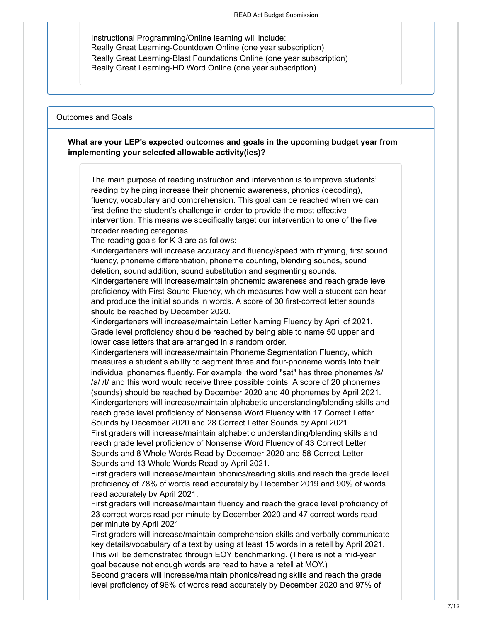Instructional Programming/Online learning will include: Really Great Learning-Countdown Online (one year subscription) Really Great Learning-Blast Foundations Online (one year subscription) Really Great Learning-HD Word Online (one year subscription)

#### Outcomes and Goals

#### **What are your LEP's expected outcomes and goals in the upcoming budget year from implementing your selected allowable activity(ies)?**

The main purpose of reading instruction and intervention is to improve students' reading by helping increase their phonemic awareness, phonics (decoding), fluency, vocabulary and comprehension. This goal can be reached when we can first define the student's challenge in order to provide the most effective intervention. This means we specifically target our intervention to one of the five broader reading categories.

The reading goals for K-3 are as follows:

Kindergarteners will increase accuracy and fluency/speed with rhyming, first sound fluency, phoneme differentiation, phoneme counting, blending sounds, sound deletion, sound addition, sound substitution and segmenting sounds.

Kindergarteners will increase/maintain phonemic awareness and reach grade level proficiency with First Sound Fluency, which measures how well a student can hear and produce the initial sounds in words. A score of 30 first-correct letter sounds should be reached by December 2020.

Kindergarteners will increase/maintain Letter Naming Fluency by April of 2021. Grade level proficiency should be reached by being able to name 50 upper and lower case letters that are arranged in a random order.

Kindergarteners will increase/maintain Phoneme Segmentation Fluency, which measures a student's ability to segment three and four-phoneme words into their individual phonemes fluently. For example, the word "sat" has three phonemes /s/ /a/ /t/ and this word would receive three possible points. A score of 20 phonemes (sounds) should be reached by December 2020 and 40 phonemes by April 2021. Kindergarteners will increase/maintain alphabetic understanding/blending skills and reach grade level proficiency of Nonsense Word Fluency with 17 Correct Letter Sounds by December 2020 and 28 Correct Letter Sounds by April 2021.

First graders will increase/maintain alphabetic understanding/blending skills and reach grade level proficiency of Nonsense Word Fluency of 43 Correct Letter Sounds and 8 Whole Words Read by December 2020 and 58 Correct Letter Sounds and 13 Whole Words Read by April 2021.

First graders will increase/maintain phonics/reading skills and reach the grade level proficiency of 78% of words read accurately by December 2019 and 90% of words read accurately by April 2021.

First graders will increase/maintain fluency and reach the grade level proficiency of 23 correct words read per minute by December 2020 and 47 correct words read per minute by April 2021.

First graders will increase/maintain comprehension skills and verbally communicate key details/vocabulary of a text by using at least 15 words in a retell by April 2021. This will be demonstrated through EOY benchmarking. (There is not a mid-year goal because not enough words are read to have a retell at MOY.)

Second graders will increase/maintain phonics/reading skills and reach the grade level proficiency of 96% of words read accurately by December 2020 and 97% of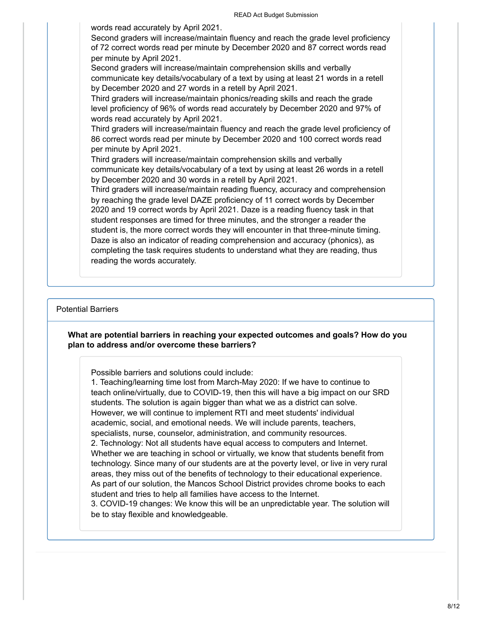words read accurately by April 2021.

Second graders will increase/maintain fluency and reach the grade level proficiency of 72 correct words read per minute by December 2020 and 87 correct words read per minute by April 2021.

Second graders will increase/maintain comprehension skills and verbally communicate key details/vocabulary of a text by using at least 21 words in a retell by December 2020 and 27 words in a retell by April 2021.

Third graders will increase/maintain phonics/reading skills and reach the grade level proficiency of 96% of words read accurately by December 2020 and 97% of words read accurately by April 2021.

Third graders will increase/maintain fluency and reach the grade level proficiency of 86 correct words read per minute by December 2020 and 100 correct words read per minute by April 2021.

Third graders will increase/maintain comprehension skills and verbally communicate key details/vocabulary of a text by using at least 26 words in a retell by December 2020 and 30 words in a retell by April 2021.

Third graders will increase/maintain reading fluency, accuracy and comprehension by reaching the grade level DAZE proficiency of 11 correct words by December 2020 and 19 correct words by April 2021. Daze is a reading fluency task in that student responses are timed for three minutes, and the stronger a reader the student is, the more correct words they will encounter in that three-minute timing. Daze is also an indicator of reading comprehension and accuracy (phonics), as completing the task requires students to understand what they are reading, thus reading the words accurately.

#### Potential Barriers

#### **What are potential barriers in reaching your expected outcomes and goals? How do you plan to address and/or overcome these barriers?**

Possible barriers and solutions could include:

1. Teaching/learning time lost from March-May 2020: If we have to continue to teach online/virtually, due to COVID-19, then this will have a big impact on our SRD students. The solution is again bigger than what we as a district can solve. However, we will continue to implement RTI and meet students' individual academic, social, and emotional needs. We will include parents, teachers, specialists, nurse, counselor, administration, and community resources. 2. Technology: Not all students have equal access to computers and Internet. Whether we are teaching in school or virtually, we know that students benefit from technology. Since many of our students are at the poverty level, or live in very rural areas, they miss out of the benefits of technology to their educational experience. As part of our solution, the Mancos School District provides chrome books to each student and tries to help all families have access to the Internet. 3. COVID-19 changes: We know this will be an unpredictable year. The solution will be to stay flexible and knowledgeable.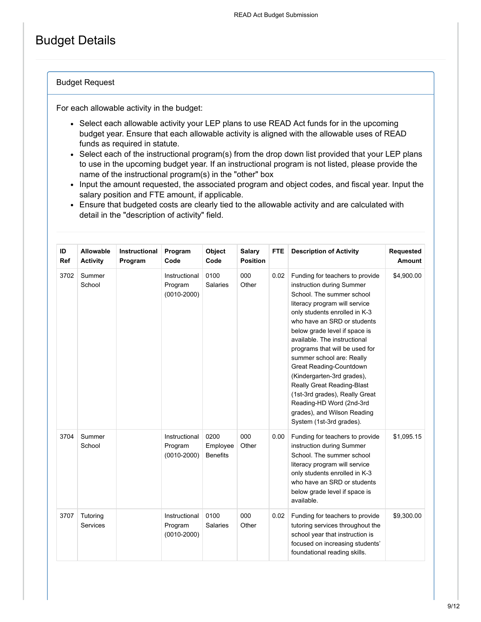## Budget Details

#### Budget Request

For each allowable activity in the budget:

- Select each allowable activity your LEP plans to use READ Act funds for in the upcoming budget year. Ensure that each allowable activity is aligned with the allowable uses of READ funds as required in statute.
- Select each of the instructional program(s) from the drop down list provided that your LEP plans to use in the upcoming budget year. If an instructional program is not listed, please provide the name of the instructional program(s) in the "other" box
- Input the amount requested, the associated program and object codes, and fiscal year. Input the salary position and FTE amount, if applicable.
- Ensure that budgeted costs are clearly tied to the allowable activity and are calculated with detail in the "description of activity" field.

| ID<br>Ref | Allowable<br><b>Activity</b> | Instructional<br>Program | Program<br>Code                             | Object<br>Code                      | <b>Salary</b><br><b>Position</b> | <b>FTE</b> | <b>Description of Activity</b>                                                                                                                                                                                                                                                                                                                                                                                                                                                                                                             | Requested<br><b>Amount</b> |
|-----------|------------------------------|--------------------------|---------------------------------------------|-------------------------------------|----------------------------------|------------|--------------------------------------------------------------------------------------------------------------------------------------------------------------------------------------------------------------------------------------------------------------------------------------------------------------------------------------------------------------------------------------------------------------------------------------------------------------------------------------------------------------------------------------------|----------------------------|
| 3702      | Summer<br>School             |                          | Instructional<br>Program<br>$(0010 - 2000)$ | 0100<br>Salaries                    | 000<br>Other                     | 0.02       | Funding for teachers to provide<br>instruction during Summer<br>School. The summer school<br>literacy program will service<br>only students enrolled in K-3<br>who have an SRD or students<br>below grade level if space is<br>available. The instructional<br>programs that will be used for<br>summer school are: Really<br>Great Reading-Countdown<br>(Kindergarten-3rd grades),<br>Really Great Reading-Blast<br>(1st-3rd grades), Really Great<br>Reading-HD Word (2nd-3rd<br>grades), and Wilson Reading<br>System (1st-3rd grades). | \$4,900.00                 |
| 3704      | Summer<br>School             |                          | Instructional<br>Program<br>$(0010 - 2000)$ | 0200<br>Employee<br><b>Benefits</b> | 000<br>Other                     | 0.00       | Funding for teachers to provide<br>instruction during Summer<br>School. The summer school<br>literacy program will service<br>only students enrolled in K-3<br>who have an SRD or students<br>below grade level if space is<br>available.                                                                                                                                                                                                                                                                                                  | \$1,095.15                 |
| 3707      | Tutoring<br>Services         |                          | Instructional<br>Program<br>$(0010 - 2000)$ | 0100<br><b>Salaries</b>             | 000<br>Other                     | 0.02       | Funding for teachers to provide<br>tutoring services throughout the<br>school year that instruction is<br>focused on increasing students'<br>foundational reading skills.                                                                                                                                                                                                                                                                                                                                                                  | \$9,300.00                 |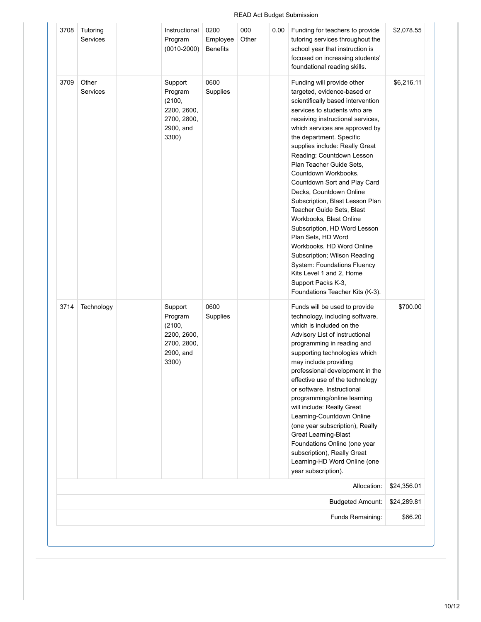#### 3708 Tutoring Services Program (0010-2000) Employee Benefits **Other** 0.00 Funding for teachers to provide tutoring services throughout the school year that instruction is focused on increasing students' foundational reading skills. 3709 Other Services Support Program (2100, 2200, 2600, 2700, 2800, 2900, and 3300) 0600 Supplies Funding will provide other targeted, evidence-based or scientifically based intervention services to students who are receiving instructional services, which services are approved by the department. Specific supplies include: Really Great Reading: Countdown Lesson Plan Teacher Guide Sets, Countdown Workbooks, Countdown Sort and Play Card Decks, Countdown Online Subscription, Blast Lesson Plan Teacher Guide Sets, Blast Workbooks, Blast Online Subscription, HD Word Lesson Plan Sets, HD Word Workbooks, HD Word Online Subscription; Wilson Reading System: Foundations Fluency Kits Level 1 and 2, Home Support Packs K-3, Foundations Teacher Kits (K-3). \$6,216.11 3714 Technology | Support Program (2100, 2200, 2600, 2700, 2800, 2900, and 3300) 0600 Supplies Funds will be used to provide technology, including software, which is included on the Advisory List of instructional programming in reading and supporting technologies which may include providing professional development in the effective use of the technology or software. Instructional programming/online learning will include: Really Great Learning-Countdown Online (one year subscription), Really Great Learning-Blast Foundations Online (one year subscription), Really Great Learning-HD Word Online (one year subscription). \$700.00 Allocation: \$24,356.01 Budgeted Amount: \$24,289.81 Funds Remaining: \$66.20

#### READ Act Budget Submission

\$2,078.55

000

Instructional

0200